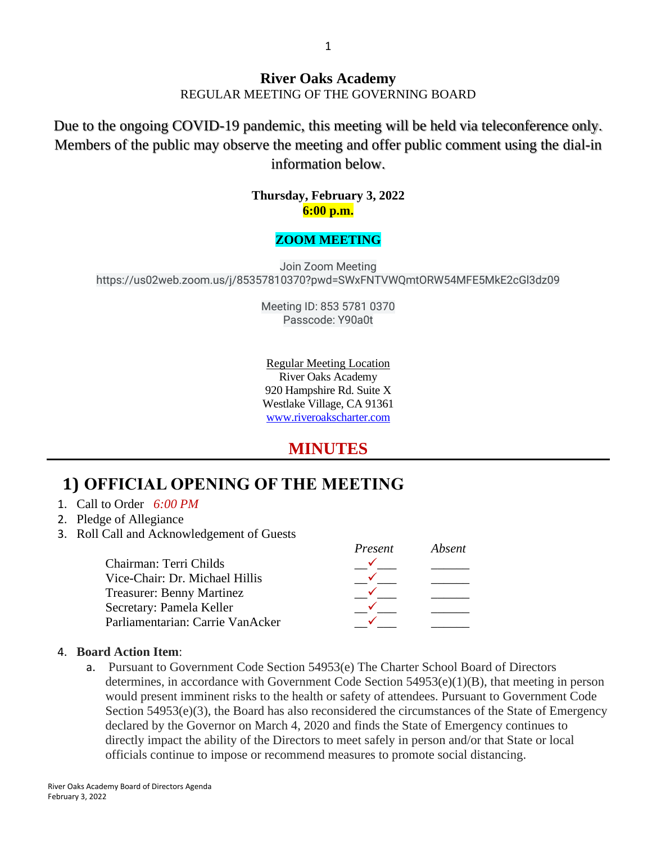Due to the ongoing COVID-19 pandemic, this meeting will be held via teleconference only. Members of the public may observe the meeting and offer public comment using the dial-in information below.

#### **Thursday, February 3, 2022 6:00 p.m.**

#### **ZOOM MEETING**

Join Zoom Meeting https://us02web.zoom.us/j/85357810370?pwd=SWxFNTVWQmtORW54MFE5MkE2cGl3dz09

> Meeting ID: 853 5781 0370 Passcode: Y90a0t

Regular Meeting Location River Oaks Academy 920 Hampshire Rd. Suite X Westlake Village, CA 91361 [www.riveroakscharter.com](http://www.riveroakscharter.com/)

### **MINUTES**

## **1) OFFICIAL OPENING OF THE MEETING**

#### 1. Call to Order *6:00 PM*

- 2. Pledge of Allegiance
- 3. Roll Call and Acknowledgement of Guests

|                                  | Present | Absent |
|----------------------------------|---------|--------|
| Chairman: Terri Childs           |         |        |
| Vice-Chair: Dr. Michael Hillis   |         |        |
| <b>Treasurer: Benny Martinez</b> |         |        |
| Secretary: Pamela Keller         |         |        |
| Parliamentarian: Carrie VanAcker |         |        |

#### 4. **Board Action Item**:

a. Pursuant to Government Code Section 54953(e) The Charter School Board of Directors determines, in accordance with Government Code Section 54953(e)(1)(B), that meeting in person would present imminent risks to the health or safety of attendees. Pursuant to Government Code Section  $54953(e)(3)$ , the Board has also reconsidered the circumstances of the State of Emergency declared by the Governor on March 4, 2020 and finds the State of Emergency continues to directly impact the ability of the Directors to meet safely in person and/or that State or local officials continue to impose or recommend measures to promote social distancing.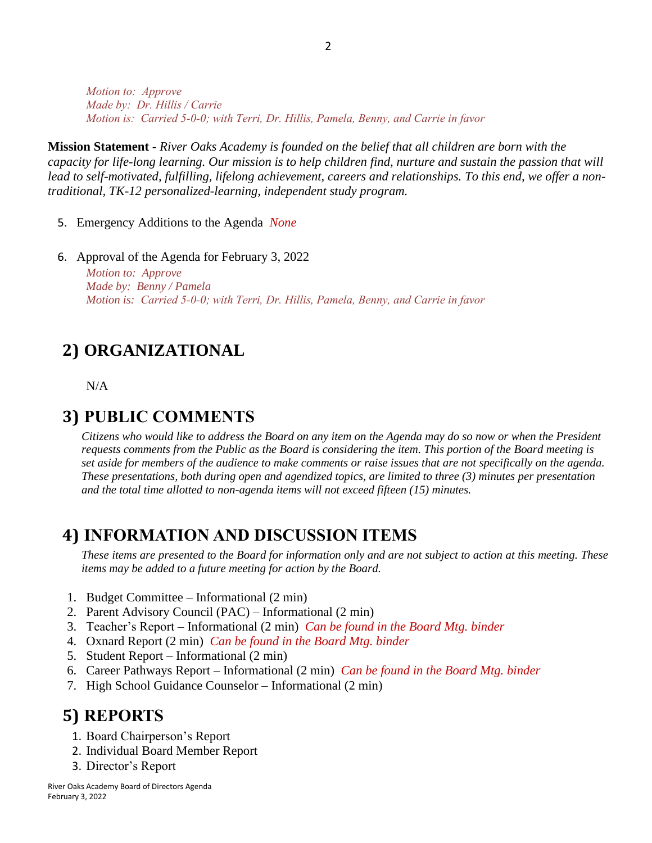*Motion to: Approve Made by: Dr. Hillis / Carrie Motion is: Carried 5-0-0; with Terri, Dr. Hillis, Pamela, Benny, and Carrie in favor* 

**Mission Statement** - *River Oaks Academy is founded on the belief that all children are born with the capacity for life-long learning. Our mission is to help children find, nurture and sustain the passion that will lead to self-motivated, fulfilling, lifelong achievement, careers and relationships. To this end, we offer a nontraditional, TK-12 personalized-learning, independent study program.* 

- 5. Emergency Additions to the Agenda *None*
- 6. Approval of the Agenda for February 3, 2022

*Motion to: Approve Made by: Benny / Pamela Motion is: Carried 5-0-0; with Terri, Dr. Hillis, Pamela, Benny, and Carrie in favor*

## **2) ORGANIZATIONAL**

N/A

#### **3) PUBLIC COMMENTS**

*Citizens who would like to address the Board on any item on the Agenda may do so now or when the President requests comments from the Public as the Board is considering the item. This portion of the Board meeting is set aside for members of the audience to make comments or raise issues that are not specifically on the agenda. These presentations, both during open and agendized topics, are limited to three (3) minutes per presentation and the total time allotted to non-agenda items will not exceed fifteen (15) minutes.*

#### **4) INFORMATION AND DISCUSSION ITEMS**

*These items are presented to the Board for information only and are not subject to action at this meeting. These items may be added to a future meeting for action by the Board.*

- 1. Budget Committee Informational (2 min)
- 2. Parent Advisory Council (PAC) Informational (2 min)
- 3. Teacher's Report Informational (2 min) *Can be found in the Board Mtg. binder*
- 4. Oxnard Report (2 min) *Can be found in the Board Mtg. binder*
- 5. Student Report Informational (2 min)
- 6. Career Pathways Report Informational (2 min) *Can be found in the Board Mtg. binder*
- 7. High School Guidance Counselor Informational (2 min)

### **5) REPORTS**

- 1. Board Chairperson's Report
- 2. Individual Board Member Report
- 3. Director's Report

River Oaks Academy Board of Directors Agenda February 3, 2022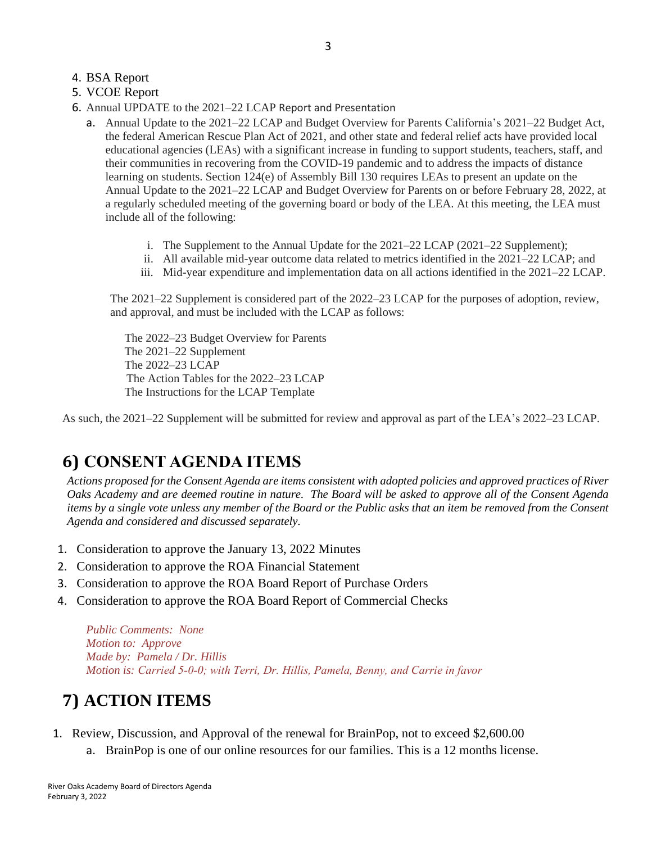#### 4. BSA Report

- 5. VCOE Report
- 6. Annual UPDATE to the 2021–22 LCAP Report and Presentation
	- a. Annual Update to the 2021–22 LCAP and Budget Overview for Parents California's 2021–22 Budget Act, the federal American Rescue Plan Act of 2021, and other state and federal relief acts have provided local educational agencies (LEAs) with a significant increase in funding to support students, teachers, staff, and their communities in recovering from the COVID-19 pandemic and to address the impacts of distance learning on students. Section 124(e) of Assembly Bill 130 requires LEAs to present an update on the Annual Update to the 2021–22 LCAP and Budget Overview for Parents on or before February 28, 2022, at a regularly scheduled meeting of the governing board or body of the LEA. At this meeting, the LEA must include all of the following:
		- i. The Supplement to the Annual Update for the 2021–22 LCAP (2021–22 Supplement);
		- ii. All available mid-year outcome data related to metrics identified in the 2021–22 LCAP; and
		- iii. Mid-year expenditure and implementation data on all actions identified in the 2021–22 LCAP.

The 2021–22 Supplement is considered part of the 2022–23 LCAP for the purposes of adoption, review, and approval, and must be included with the LCAP as follows:

 The 2022–23 Budget Overview for Parents The 2021–22 Supplement The 2022–23 LCAP The Action Tables for the 2022–23 LCAP The Instructions for the LCAP Template

As such, the 2021–22 Supplement will be submitted for review and approval as part of the LEA's 2022–23 LCAP.

## **6) CONSENT AGENDA ITEMS**

*Actions proposed for the Consent Agenda are items consistent with adopted policies and approved practices of River Oaks Academy and are deemed routine in nature. The Board will be asked to approve all of the Consent Agenda items by a single vote unless any member of the Board or the Public asks that an item be removed from the Consent Agenda and considered and discussed separately.*

- 1. Consideration to approve the January 13, 2022 Minutes
- 2. Consideration to approve the ROA Financial Statement
- 3. Consideration to approve the ROA Board Report of Purchase Orders
- 4. Consideration to approve the ROA Board Report of Commercial Checks

*Public Comments: None Motion to: Approve Made by: Pamela / Dr. Hillis Motion is: Carried 5-0-0; with Terri, Dr. Hillis, Pamela, Benny, and Carrie in favor*

# **7) ACTION ITEMS**

- 1. Review, Discussion, and Approval of the renewal for BrainPop, not to exceed \$2,600.00
	- a. BrainPop is one of our online resources for our families. This is a 12 months license.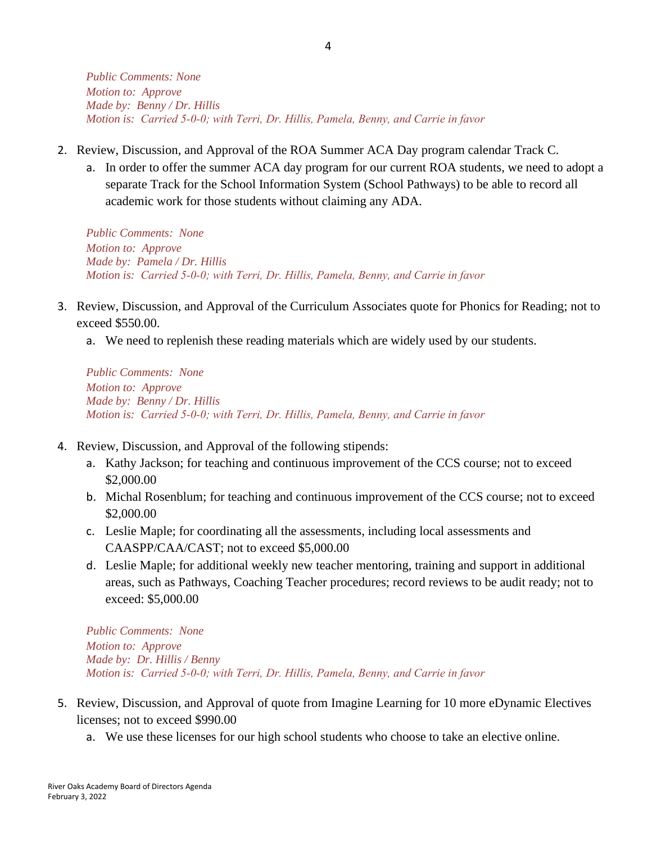*Public Comments: None Motion to: Approve Made by: Benny / Dr. Hillis Motion is: Carried 5-0-0; with Terri, Dr. Hillis, Pamela, Benny, and Carrie in favor*

- 2. Review, Discussion, and Approval of the ROA Summer ACA Day program calendar Track C.
	- a. In order to offer the summer ACA day program for our current ROA students, we need to adopt a separate Track for the School Information System (School Pathways) to be able to record all academic work for those students without claiming any ADA.

*Public Comments: None Motion to: Approve Made by: Pamela / Dr. Hillis Motion is: Carried 5-0-0; with Terri, Dr. Hillis, Pamela, Benny, and Carrie in favor*

- 3. Review, Discussion, and Approval of the Curriculum Associates quote for Phonics for Reading; not to exceed \$550.00.
	- a. We need to replenish these reading materials which are widely used by our students.

*Public Comments: None Motion to: Approve Made by: Benny / Dr. Hillis Motion is: Carried 5-0-0; with Terri, Dr. Hillis, Pamela, Benny, and Carrie in favor*

- 4. Review, Discussion, and Approval of the following stipends:
	- a. Kathy Jackson; for teaching and continuous improvement of the CCS course; not to exceed \$2,000.00
	- b. Michal Rosenblum; for teaching and continuous improvement of the CCS course; not to exceed \$2,000.00
	- c. Leslie Maple; for coordinating all the assessments, including local assessments and CAASPP/CAA/CAST; not to exceed \$5,000.00
	- d. Leslie Maple; for additional weekly new teacher mentoring, training and support in additional areas, such as Pathways, Coaching Teacher procedures; record reviews to be audit ready; not to exceed: \$5,000.00

*Public Comments: None Motion to: Approve Made by: Dr. Hillis / Benny Motion is: Carried 5-0-0; with Terri, Dr. Hillis, Pamela, Benny, and Carrie in favor*

- 5. Review, Discussion, and Approval of quote from Imagine Learning for 10 more eDynamic Electives licenses; not to exceed \$990.00
	- a. We use these licenses for our high school students who choose to take an elective online.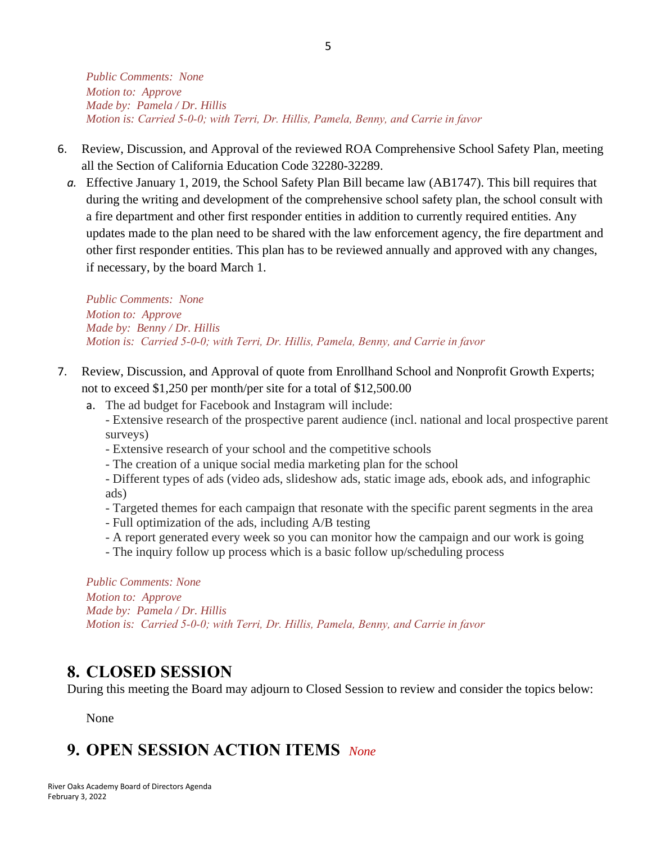*Public Comments: None Motion to: Approve Made by: Pamela / Dr. Hillis Motion is: Carried 5-0-0; with Terri, Dr. Hillis, Pamela, Benny, and Carrie in favor*

- 6. Review, Discussion, and Approval of the reviewed ROA Comprehensive School Safety Plan, meeting all the Section of California Education Code 32280-32289.
	- *a.* Effective January 1, 2019, the School Safety Plan Bill became law (AB1747). This bill requires that during the writing and development of the comprehensive school safety plan, the school consult with a fire department and other first responder entities in addition to currently required entities. Any updates made to the plan need to be shared with the law enforcement agency, the fire department and other first responder entities. This plan has to be reviewed annually and approved with any changes, if necessary, by the board March 1.

*Public Comments: None Motion to: Approve Made by: Benny / Dr. Hillis Motion is: Carried 5-0-0; with Terri, Dr. Hillis, Pamela, Benny, and Carrie in favor*

- 7. Review, Discussion, and Approval of quote from Enrollhand School and Nonprofit Growth Experts; not to exceed \$1,250 per month/per site for a total of \$12,500.00
	- a. The ad budget for Facebook and Instagram will include: - Extensive research of the prospective parent audience (incl. national and local prospective parent surveys)
		- Extensive research of your school and the competitive schools
		- The creation of a unique social media marketing plan for the school
		- Different types of ads (video ads, slideshow ads, static image ads, ebook ads, and infographic ads)
		- Targeted themes for each campaign that resonate with the specific parent segments in the area
		- Full optimization of the ads, including A/B testing
		- A report generated every week so you can monitor how the campaign and our work is going
		- The inquiry follow up process which is a basic follow up/scheduling process

*Public Comments: None Motion to: Approve Made by: Pamela / Dr. Hillis Motion is: Carried 5-0-0; with Terri, Dr. Hillis, Pamela, Benny, and Carrie in favor*

### **8. CLOSED SESSION**

During this meeting the Board may adjourn to Closed Session to review and consider the topics below:

None

# **9. OPEN SESSION ACTION ITEMS** *None*